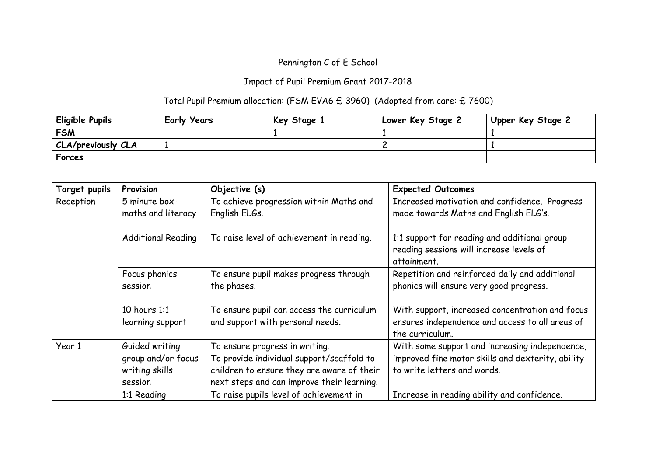## Pennington C of E School

## Impact of Pupil Premium Grant 2017-2018

## Total Pupil Premium allocation: (FSM EVA6 £ 3960) (Adopted from care: £ 7600)

| Eligible Pupils           | <b>Early Years</b> | Key Stage 1 | Lower Key Stage 2 | Upper Key Stage 2 |
|---------------------------|--------------------|-------------|-------------------|-------------------|
| <b>FSM</b>                |                    |             |                   |                   |
| <b>CLA/previously CLA</b> |                    |             |                   |                   |
| Forces                    |                    |             |                   |                   |

| Target pupils | Provision                                                         | Objective (s)                                                                                                                                                           | <b>Expected Outcomes</b>                                                                                                           |
|---------------|-------------------------------------------------------------------|-------------------------------------------------------------------------------------------------------------------------------------------------------------------------|------------------------------------------------------------------------------------------------------------------------------------|
| Reception     | 5 minute box-<br>maths and literacy                               | To achieve progression within Maths and<br>English ELGs.                                                                                                                | Increased motivation and confidence. Progress<br>made towards Maths and English ELG's.                                             |
|               | <b>Additional Reading</b>                                         | To raise level of achievement in reading.                                                                                                                               | 1:1 support for reading and additional group<br>reading sessions will increase levels of<br>attainment.                            |
|               | Focus phonics<br>session                                          | To ensure pupil makes progress through<br>the phases.                                                                                                                   | Repetition and reinforced daily and additional<br>phonics will ensure very good progress.                                          |
|               | 10 hours 1:1<br>learning support                                  | To ensure pupil can access the curriculum<br>and support with personal needs.                                                                                           | With support, increased concentration and focus<br>ensures independence and access to all areas of<br>the curriculum.              |
| Year 1        | Guided writing<br>group and/or focus<br>writing skills<br>session | To ensure progress in writing.<br>To provide individual support/scaffold to<br>children to ensure they are aware of their<br>next steps and can improve their learning. | With some support and increasing independence,<br>improved fine motor skills and dexterity, ability<br>to write letters and words. |
|               | 1:1 Reading                                                       | To raise pupils level of achievement in                                                                                                                                 | Increase in reading ability and confidence.                                                                                        |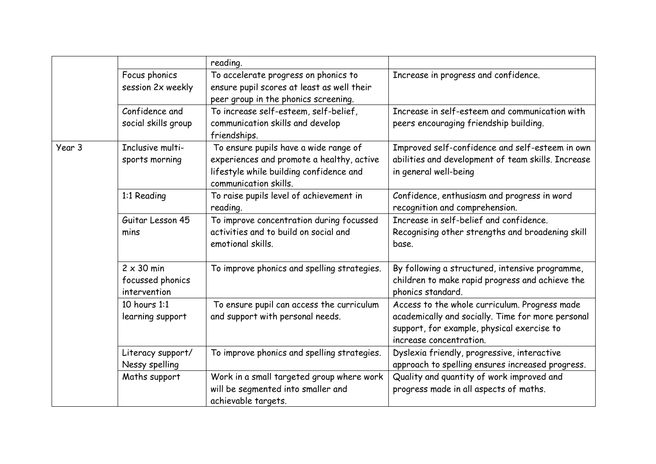|        |                                                       | reading.                                                                                                                                               |                                                                                                                                                                             |
|--------|-------------------------------------------------------|--------------------------------------------------------------------------------------------------------------------------------------------------------|-----------------------------------------------------------------------------------------------------------------------------------------------------------------------------|
|        | Focus phonics<br>session 2x weekly                    | To accelerate progress on phonics to<br>ensure pupil scores at least as well their<br>peer group in the phonics screening.                             | Increase in progress and confidence.                                                                                                                                        |
|        | Confidence and<br>social skills group                 | To increase self-esteem, self-belief,<br>communication skills and develop<br>friendships.                                                              | Increase in self-esteem and communication with<br>peers encouraging friendship building.                                                                                    |
| Year 3 | Inclusive multi-<br>sports morning                    | To ensure pupils have a wide range of<br>experiences and promote a healthy, active<br>lifestyle while building confidence and<br>communication skills. | Improved self-confidence and self-esteem in own<br>abilities and development of team skills. Increase<br>in general well-being                                              |
|        | 1:1 Reading                                           | To raise pupils level of achievement in<br>reading.                                                                                                    | Confidence, enthusiasm and progress in word<br>recognition and comprehension.                                                                                               |
|        | Guitar Lesson 45<br>mins                              | To improve concentration during focussed<br>activities and to build on social and<br>emotional skills.                                                 | Increase in self-belief and confidence.<br>Recognising other strengths and broadening skill<br>base.                                                                        |
|        | $2 \times 30$ min<br>focussed phonics<br>intervention | To improve phonics and spelling strategies.                                                                                                            | By following a structured, intensive programme,<br>children to make rapid progress and achieve the<br>phonics standard.                                                     |
|        | 10 hours 1:1<br>learning support                      | To ensure pupil can access the curriculum<br>and support with personal needs.                                                                          | Access to the whole curriculum. Progress made<br>academically and socially. Time for more personal<br>support, for example, physical exercise to<br>increase concentration. |
|        | Literacy support/<br>Nessy spelling                   | To improve phonics and spelling strategies.                                                                                                            | Dyslexia friendly, progressive, interactive<br>approach to spelling ensures increased progress.                                                                             |
|        | Maths support                                         | Work in a small targeted group where work<br>will be segmented into smaller and<br>achievable targets.                                                 | Quality and quantity of work improved and<br>progress made in all aspects of maths.                                                                                         |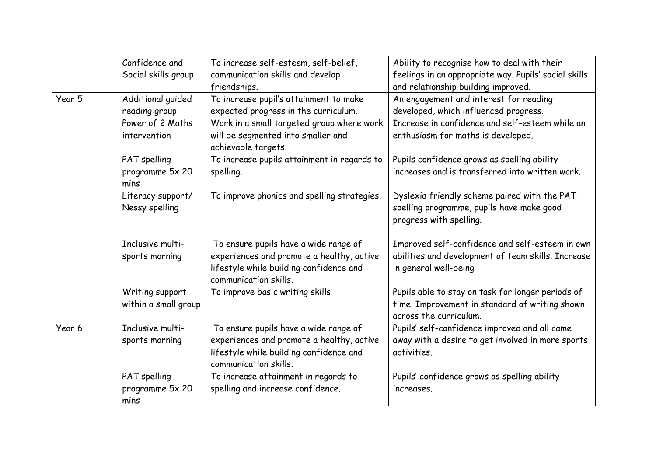|        | Confidence and<br>Social skills group   | To increase self-esteem, self-belief,<br>communication skills and develop<br>friendships.                                                              | Ability to recognise how to deal with their<br>feelings in an appropriate way. Pupils' social skills<br>and relationship building improved. |
|--------|-----------------------------------------|--------------------------------------------------------------------------------------------------------------------------------------------------------|---------------------------------------------------------------------------------------------------------------------------------------------|
| Year 5 | Additional guided<br>reading group      | To increase pupil's attainment to make<br>expected progress in the curriculum.                                                                         | An engagement and interest for reading<br>developed, which influenced progress.                                                             |
|        | Power of 2 Maths<br>intervention        | Work in a small targeted group where work<br>will be segmented into smaller and<br>achievable targets.                                                 | Increase in confidence and self-esteem while an<br>enthusiasm for maths is developed.                                                       |
|        | PAT spelling<br>programme 5x 20<br>mins | To increase pupils attainment in regards to<br>spelling.                                                                                               | Pupils confidence grows as spelling ability<br>increases and is transferred into written work.                                              |
|        | Literacy support/<br>Nessy spelling     | To improve phonics and spelling strategies.                                                                                                            | Dyslexia friendly scheme paired with the PAT<br>spelling programme, pupils have make good<br>progress with spelling.                        |
|        | Inclusive multi-<br>sports morning      | To ensure pupils have a wide range of<br>experiences and promote a healthy, active<br>lifestyle while building confidence and<br>communication skills. | Improved self-confidence and self-esteem in own<br>abilities and development of team skills. Increase<br>in general well-being              |
|        | Writing support<br>within a small group | To improve basic writing skills                                                                                                                        | Pupils able to stay on task for longer periods of<br>time. Improvement in standard of writing shown<br>across the curriculum.               |
| Year 6 | Inclusive multi-<br>sports morning      | To ensure pupils have a wide range of<br>experiences and promote a healthy, active<br>lifestyle while building confidence and<br>communication skills. | Pupils' self-confidence improved and all came<br>away with a desire to get involved in more sports<br>activities.                           |
|        | PAT spelling<br>programme 5x 20<br>mins | To increase attainment in regards to<br>spelling and increase confidence.                                                                              | Pupils' confidence grows as spelling ability<br>increases.                                                                                  |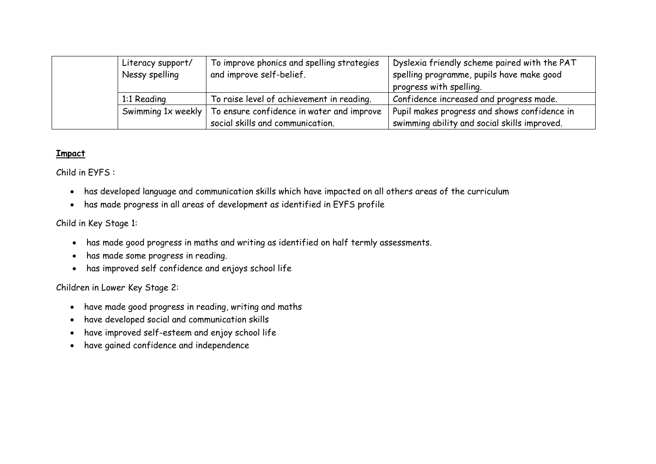| Literacy support/<br>Nessy spelling | To improve phonics and spelling strategies<br>and improve self-belief. | Dyslexia friendly scheme paired with the PAT<br>spelling programme, pupils have make good<br>progress with spelling. |
|-------------------------------------|------------------------------------------------------------------------|----------------------------------------------------------------------------------------------------------------------|
| 1:1 Reading                         | To raise level of achievement in reading.                              | Confidence increased and progress made.                                                                              |
| Swimming $1x$ weekly                | To ensure confidence in water and improve                              | Pupil makes progress and shows confidence in                                                                         |
|                                     | social skills and communication.                                       | swimming ability and social skills improved.                                                                         |

## **Impact**

Child in EYFS :

- has developed language and communication skills which have impacted on all others areas of the curriculum
- has made progress in all areas of development as identified in EYFS profile

Child in Key Stage 1:

- has made good progress in maths and writing as identified on half termly assessments.
- has made some progress in reading.
- has improved self confidence and enjoys school life

Children in Lower Key Stage 2:

- have made good progress in reading, writing and maths
- have developed social and communication skills
- have improved self-esteem and enjoy school life
- have gained confidence and independence